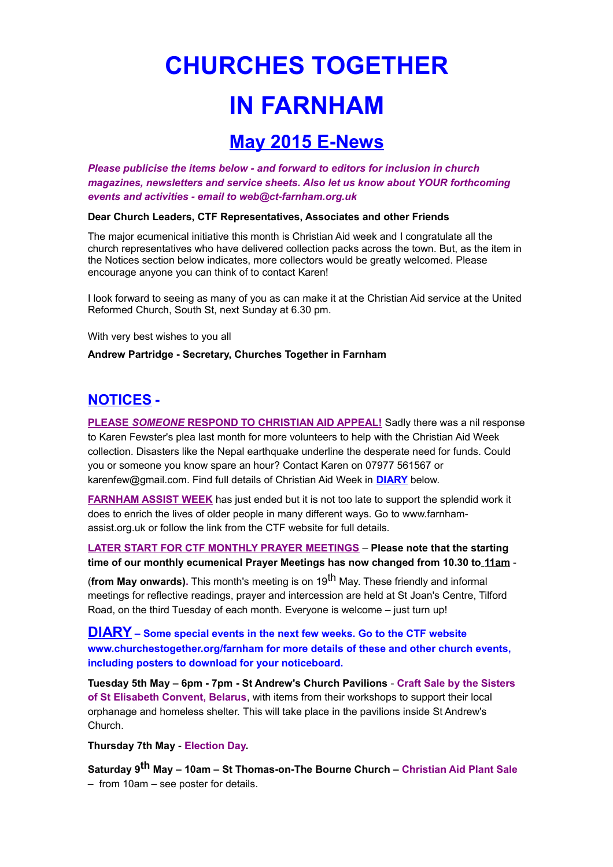# **CHURCHES TOGETHER IN FARNHAM**

## **May 2015 E-News**

*Please publicise the items below - and forward to editors for inclusion in church magazines, newsletters and service sheets. Also let us know about YOUR forthcoming events and activities - email to web@ct-farnham.org.uk*

#### **Dear Church Leaders, CTF Representatives, Associates and other Friends**

The major ecumenical initiative this month is Christian Aid week and I congratulate all the church representatives who have delivered collection packs across the town. But, as the item in the Notices section below indicates, more collectors would be greatly welcomed. Please encourage anyone you can think of to contact Karen!

I look forward to seeing as many of you as can make it at the Christian Aid service at the United Reformed Church, South St, next Sunday at 6.30 pm.

With very best wishes to you all

#### **Andrew Partridge - Secretary, Churches Together in Farnham**

### **NOTICES -**

 **PLEASE** *SOMEONE* **RESPOND TO CHRISTIAN AID APPEAL!** Sadly there was a nil response to Karen Fewster's plea last month for more volunteers to help with the Christian Aid Week collection. Disasters like the Nepal earthquake underline the desperate need for funds. Could you or someone you know spare an hour? Contact Karen on 07977 561567 or karenfew@gmail.com. Find full details of Christian Aid Week in **DIARY** below.

**FARNHAM ASSIST WEEK** has just ended but it is not too late to support the splendid work it does to enrich the lives of older people in many different ways. Go to www.farnhamassist.org.uk or follow the link from the CTF website for full details.

**LATER START FOR CTF MONTHLY PRAYER MEETINGS** – **Please note that the starting time of our monthly ecumenical Prayer Meetings has now changed from 10.30 to 11am** -

(**from May onwards).** This month's meeting is on 19th May. These friendly and informal meetings for reflective readings, prayer and intercession are held at St Joan's Centre, Tilford Road, on the third Tuesday of each month. Everyone is welcome – just turn up!

**DIARY – Some special events in the next few weeks. Go to the CTF website www.churchestogether.org/farnham for more details of these and other church events, including posters to download for your noticeboard.**

**Tuesday 5th May – 6pm - 7pm - St Andrew's Church Pavilions** - **Craft Sale by the Sisters of St Elisabeth Convent, Belarus**, with items from their workshops to support their local orphanage and homeless shelter. This will take place in the pavilions inside St Andrew's Church.

**Thursday 7th May** - **Election Day.**

**Saturday 9th May – 10am – St Thomas-on-The Bourne Church – Christian Aid Plant Sale**  *–* from 10am – see poster for details.